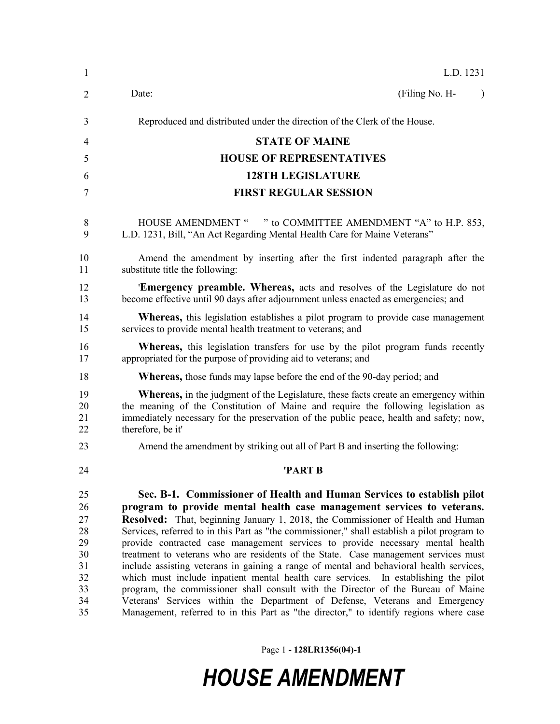| 1                                                              | L.D. 1231                                                                                                                                                                                                                                                                                                                                                                                                                                                                                                                                                                                                                                                                                                                                                                                                                                                                                                                                                   |
|----------------------------------------------------------------|-------------------------------------------------------------------------------------------------------------------------------------------------------------------------------------------------------------------------------------------------------------------------------------------------------------------------------------------------------------------------------------------------------------------------------------------------------------------------------------------------------------------------------------------------------------------------------------------------------------------------------------------------------------------------------------------------------------------------------------------------------------------------------------------------------------------------------------------------------------------------------------------------------------------------------------------------------------|
| 2                                                              | (Filing No. H-<br>Date:                                                                                                                                                                                                                                                                                                                                                                                                                                                                                                                                                                                                                                                                                                                                                                                                                                                                                                                                     |
| 3                                                              | Reproduced and distributed under the direction of the Clerk of the House.                                                                                                                                                                                                                                                                                                                                                                                                                                                                                                                                                                                                                                                                                                                                                                                                                                                                                   |
| 4                                                              | <b>STATE OF MAINE</b>                                                                                                                                                                                                                                                                                                                                                                                                                                                                                                                                                                                                                                                                                                                                                                                                                                                                                                                                       |
| 5                                                              | <b>HOUSE OF REPRESENTATIVES</b>                                                                                                                                                                                                                                                                                                                                                                                                                                                                                                                                                                                                                                                                                                                                                                                                                                                                                                                             |
| 6                                                              | <b>128TH LEGISLATURE</b>                                                                                                                                                                                                                                                                                                                                                                                                                                                                                                                                                                                                                                                                                                                                                                                                                                                                                                                                    |
| 7                                                              | <b>FIRST REGULAR SESSION</b>                                                                                                                                                                                                                                                                                                                                                                                                                                                                                                                                                                                                                                                                                                                                                                                                                                                                                                                                |
| 8<br>9                                                         | HOUSE AMENDMENT " " to COMMITTEE AMENDMENT "A" to H.P. 853,<br>L.D. 1231, Bill, "An Act Regarding Mental Health Care for Maine Veterans"                                                                                                                                                                                                                                                                                                                                                                                                                                                                                                                                                                                                                                                                                                                                                                                                                    |
| 10<br>11                                                       | Amend the amendment by inserting after the first indented paragraph after the<br>substitute title the following:                                                                                                                                                                                                                                                                                                                                                                                                                                                                                                                                                                                                                                                                                                                                                                                                                                            |
| 12<br>13                                                       | 'Emergency preamble. Whereas, acts and resolves of the Legislature do not<br>become effective until 90 days after adjournment unless enacted as emergencies; and                                                                                                                                                                                                                                                                                                                                                                                                                                                                                                                                                                                                                                                                                                                                                                                            |
| 14<br>15                                                       | <b>Whereas</b> , this legislation establishes a pilot program to provide case management<br>services to provide mental health treatment to veterans; and                                                                                                                                                                                                                                                                                                                                                                                                                                                                                                                                                                                                                                                                                                                                                                                                    |
| 16<br>17                                                       | <b>Whereas,</b> this legislation transfers for use by the pilot program funds recently<br>appropriated for the purpose of providing aid to veterans; and                                                                                                                                                                                                                                                                                                                                                                                                                                                                                                                                                                                                                                                                                                                                                                                                    |
| 18                                                             | <b>Whereas,</b> those funds may lapse before the end of the 90-day period; and                                                                                                                                                                                                                                                                                                                                                                                                                                                                                                                                                                                                                                                                                                                                                                                                                                                                              |
| 19<br>20<br>21<br>22                                           | <b>Whereas,</b> in the judgment of the Legislature, these facts create an emergency within<br>the meaning of the Constitution of Maine and require the following legislation as<br>immediately necessary for the preservation of the public peace, health and safety; now,<br>therefore, be it'                                                                                                                                                                                                                                                                                                                                                                                                                                                                                                                                                                                                                                                             |
| 23                                                             | Amend the amendment by striking out all of Part B and inserting the following:                                                                                                                                                                                                                                                                                                                                                                                                                                                                                                                                                                                                                                                                                                                                                                                                                                                                              |
| 24                                                             | 'PART B                                                                                                                                                                                                                                                                                                                                                                                                                                                                                                                                                                                                                                                                                                                                                                                                                                                                                                                                                     |
| 25<br>26<br>27<br>28<br>29<br>30<br>31<br>32<br>33<br>34<br>35 | Sec. B-1. Commissioner of Health and Human Services to establish pilot<br>program to provide mental health case management services to veterans.<br>Resolved: That, beginning January 1, 2018, the Commissioner of Health and Human<br>Services, referred to in this Part as "the commissioner," shall establish a pilot program to<br>provide contracted case management services to provide necessary mental health<br>treatment to veterans who are residents of the State. Case management services must<br>include assisting veterans in gaining a range of mental and behavioral health services,<br>which must include inpatient mental health care services. In establishing the pilot<br>program, the commissioner shall consult with the Director of the Bureau of Maine<br>Veterans' Services within the Department of Defense, Veterans and Emergency<br>Management, referred to in this Part as "the director," to identify regions where case |

Page 1 **- 128LR1356(04)-1**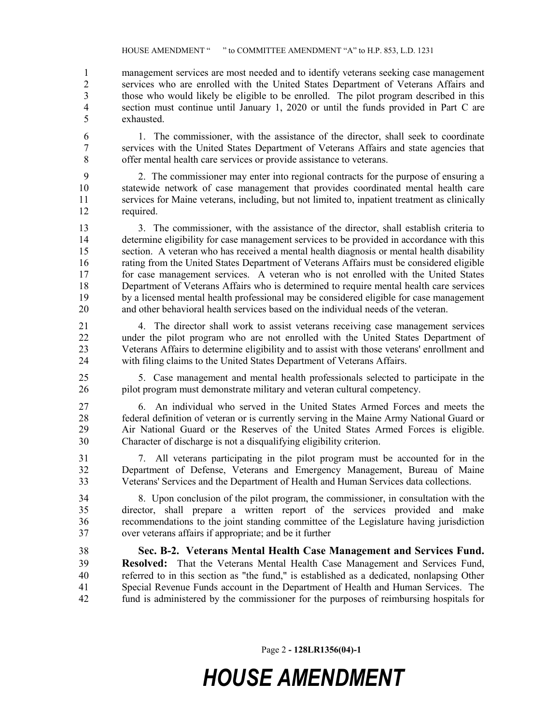management services are most needed and to identify veterans seeking case management services who are enrolled with the United States Department of Veterans Affairs and those who would likely be eligible to be enrolled. The pilot program described in this section must continue until January 1, 2020 or until the funds provided in Part C are exhausted.

 1. The commissioner, with the assistance of the director, shall seek to coordinate services with the United States Department of Veterans Affairs and state agencies that offer mental health care services or provide assistance to veterans.

 2. The commissioner may enter into regional contracts for the purpose of ensuring a statewide network of case management that provides coordinated mental health care services for Maine veterans, including, but not limited to, inpatient treatment as clinically required.

 3. The commissioner, with the assistance of the director, shall establish criteria to determine eligibility for case management services to be provided in accordance with this section. A veteran who has received a mental health diagnosis or mental health disability rating from the United States Department of Veterans Affairs must be considered eligible for case management services. A veteran who is not enrolled with the United States Department of Veterans Affairs who is determined to require mental health care services by a licensed mental health professional may be considered eligible for case management and other behavioral health services based on the individual needs of the veteran.

 4. The director shall work to assist veterans receiving case management services under the pilot program who are not enrolled with the United States Department of Veterans Affairs to determine eligibility and to assist with those veterans' enrollment and with filing claims to the United States Department of Veterans Affairs.

 5. Case management and mental health professionals selected to participate in the pilot program must demonstrate military and veteran cultural competency.

 6. An individual who served in the United States Armed Forces and meets the 28 federal definition of veteran or is currently serving in the Maine Army National Guard or<br>29 Air National Guard or the Reserves of the United States Armed Forces is eligible Air National Guard or the Reserves of the United States Armed Forces is eligible. Character of discharge is not a disqualifying eligibility criterion.

 7. All veterans participating in the pilot program must be accounted for in the Department of Defense, Veterans and Emergency Management, Bureau of Maine Veterans' Services and the Department of Health and Human Services data collections.

 8. Upon conclusion of the pilot program, the commissioner, in consultation with the director, shall prepare a written report of the services provided and make recommendations to the joint standing committee of the Legislature having jurisdiction over veterans affairs if appropriate; and be it further

 **Sec. B-2. Veterans Mental Health Case Management and Services Fund. Resolved:** That the Veterans Mental Health Case Management and Services Fund, referred to in this section as "the fund," is established as a dedicated, nonlapsing Other Special Revenue Funds account in the Department of Health and Human Services. The fund is administered by the commissioner for the purposes of reimbursing hospitals for

Page 2 **- 128LR1356(04)-1**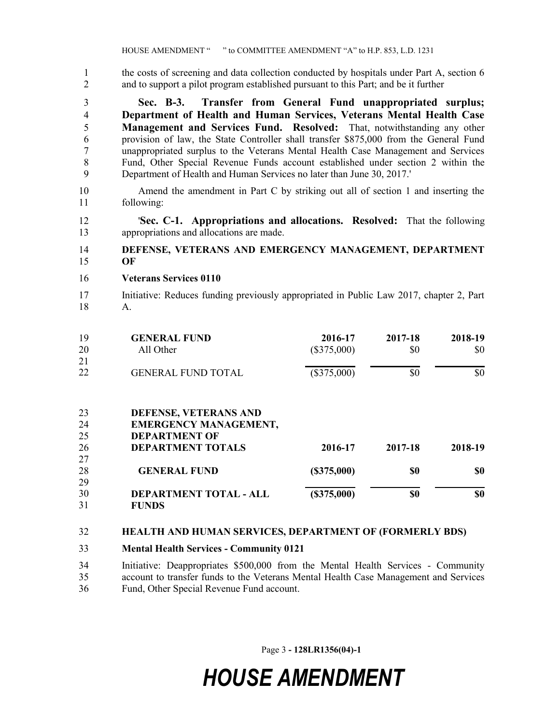the costs of screening and data collection conducted by hospitals under Part A, section 6 and to support a pilot program established pursuant to this Part; and be it further

 **Sec. B-3. Transfer from General Fund unappropriated surplus; Department of Health and Human Services, Veterans Mental Health Case Management and Services Fund. Resolved:** That, notwithstanding any other provision of law, the State Controller shall transfer \$875,000 from the General Fund unappropriated surplus to the Veterans Mental Health Case Management and Services Fund, Other Special Revenue Funds account established under section 2 within the Department of Health and Human Services no later than June 30, 2017.'

- Amend the amendment in Part C by striking out all of section 1 and inserting the following:
- '**Sec. C-1. Appropriations and allocations. Resolved:** That the following appropriations and allocations are made.

#### **DEFENSE, VETERANS AND EMERGENCY MANAGEMENT, DEPARTMENT OF**

- **Veterans Services 0110**
- Initiative: Reduces funding previously appropriated in Public Law 2017, chapter 2, Part A.

| 19 | <b>GENERAL FUND</b>           | 2016-17       | 2017-18 | 2018-19 |
|----|-------------------------------|---------------|---------|---------|
| 20 | All Other                     | $(\$375,000)$ | \$0     | \$0     |
| 21 |                               |               |         |         |
| 22 | <b>GENERAL FUND TOTAL</b>     | $(\$375,000)$ | \$0     | \$0     |
|    |                               |               |         |         |
| 23 | DEFENSE, VETERANS AND         |               |         |         |
| 24 | <b>EMERGENCY MANAGEMENT,</b>  |               |         |         |
| 25 | <b>DEPARTMENT OF</b>          |               |         |         |
| 26 | <b>DEPARTMENT TOTALS</b>      | 2016-17       | 2017-18 | 2018-19 |
| 27 |                               |               |         |         |
| 28 | <b>GENERAL FUND</b>           | (S375,000)    | \$0     | \$0     |
| 29 |                               |               |         |         |
| 30 | <b>DEPARTMENT TOTAL - ALL</b> | (\$375,000)   | \$0     | \$0     |
| 31 | <b>FUNDS</b>                  |               |         |         |

#### **HEALTH AND HUMAN SERVICES, DEPARTMENT OF (FORMERLY BDS)**

- **Mental Health Services - Community 0121**
- Initiative: Deappropriates \$500,000 from the Mental Health Services Community account to transfer funds to the Veterans Mental Health Case Management and Services Fund, Other Special Revenue Fund account.

Page 3 **- 128LR1356(04)-1**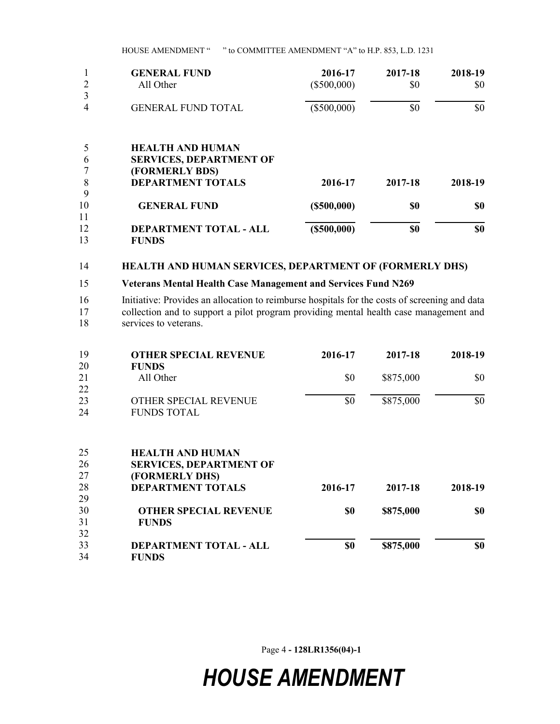HOUSE AMENDMENT " " to COMMITTEE AMENDMENT "A" to H.P. 853, L.D. 1231

|    | <b>GENERAL FUND</b>            | 2016-17           | 2017-18 | 2018-19 |
|----|--------------------------------|-------------------|---------|---------|
|    | All Other                      | $(\$500,000)$     | \$0     | \$0     |
| 3  |                                |                   |         |         |
| 4  | <b>GENERAL FUND TOTAL</b>      | $(\$500,000)$     | \$0     | \$0     |
| 5  | <b>HEALTH AND HUMAN</b>        |                   |         |         |
| 6  | <b>SERVICES, DEPARTMENT OF</b> |                   |         |         |
|    | (FORMERLY BDS)                 |                   |         |         |
| 8  | <b>DEPARTMENT TOTALS</b>       | 2016-17           | 2017-18 | 2018-19 |
| 9  |                                |                   |         |         |
| 10 | <b>GENERAL FUND</b>            | $($ \$500,000)    | \$0     | \$0     |
| 11 |                                |                   |         |         |
| 12 | <b>DEPARTMENT TOTAL - ALL</b>  | $($ \$500,000 $)$ | \$0     | \$0     |
| 13 | <b>FUNDS</b>                   |                   |         |         |

#### 14 **HEALTH AND HUMAN SERVICES, DEPARTMENT OF (FORMERLY DHS)**

#### 15 **Veterans Mental Health Case Management and Services Fund N269**

16 Initiative: Provides an allocation to reimburse hospitals for the costs of screening and data 17 collection and to support a pilot program providing mental health case management and

18 services to veterans.

| 19 | <b>OTHER SPECIAL REVENUE</b>   | 2016-17 | 2017-18   | 2018-19 |
|----|--------------------------------|---------|-----------|---------|
| 20 | <b>FUNDS</b>                   |         |           |         |
| 21 | All Other                      | \$0     | \$875,000 | \$0     |
| 22 |                                |         |           |         |
| 23 | <b>OTHER SPECIAL REVENUE</b>   | \$0     | \$875,000 | \$0     |
| 24 | <b>FUNDS TOTAL</b>             |         |           |         |
|    |                                |         |           |         |
| 25 | <b>HEALTH AND HUMAN</b>        |         |           |         |
| 26 | <b>SERVICES, DEPARTMENT OF</b> |         |           |         |
| 27 | (FORMERLY DHS)                 |         |           |         |
| 28 | <b>DEPARTMENT TOTALS</b>       | 2016-17 | 2017-18   | 2018-19 |
| 29 |                                |         |           |         |
| 30 | <b>OTHER SPECIAL REVENUE</b>   | \$0     | \$875,000 | \$0     |
| 31 | <b>FUNDS</b>                   |         |           |         |
| 32 |                                |         |           |         |
| 33 | <b>DEPARTMENT TOTAL - ALL</b>  | \$0     | \$875,000 | \$0     |
| 34 | <b>FUNDS</b>                   |         |           |         |

Page 4 **- 128LR1356(04)-1**